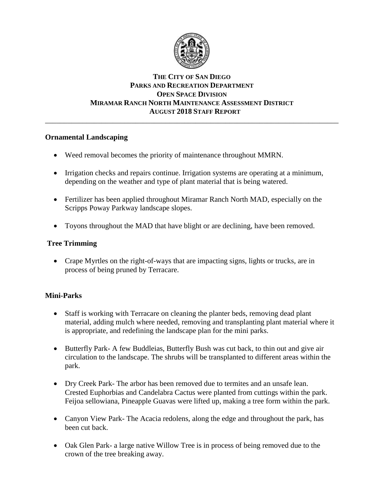

# **THE CITY OF SAN DIEGO PARKS AND RECREATION DEPARTMENT OPEN SPACE DIVISION MIRAMAR RANCH NORTH MAINTENANCE ASSESSMENT DISTRICT AUGUST 2018 STAFF REPORT**

\_\_\_\_\_\_\_\_\_\_\_\_\_\_\_\_\_\_\_\_\_\_\_\_\_\_\_\_\_\_\_\_\_\_\_\_\_\_\_\_\_\_\_\_\_\_\_\_\_\_\_\_\_\_\_\_\_\_\_\_\_\_\_\_\_\_\_\_\_\_\_\_\_\_\_\_\_\_

# **Ornamental Landscaping**

- Weed removal becomes the priority of maintenance throughout MMRN.
- Irrigation checks and repairs continue. Irrigation systems are operating at a minimum, depending on the weather and type of plant material that is being watered.
- Fertilizer has been applied throughout Miramar Ranch North MAD, especially on the Scripps Poway Parkway landscape slopes.
- Toyons throughout the MAD that have blight or are declining, have been removed.

### **Tree Trimming**

• Crape Myrtles on the right-of-ways that are impacting signs, lights or trucks, are in process of being pruned by Terracare.

# **Mini-Parks**

- Staff is working with Terracare on cleaning the planter beds, removing dead plant material, adding mulch where needed, removing and transplanting plant material where it is appropriate, and redefining the landscape plan for the mini parks.
- Butterfly Park- A few Buddleias, Butterfly Bush was cut back, to thin out and give air circulation to the landscape. The shrubs will be transplanted to different areas within the park.
- Dry Creek Park- The arbor has been removed due to termites and an unsafe lean. Crested Euphorbias and Candelabra Cactus were planted from cuttings within the park. Feijoa sellowiana, Pineapple Guavas were lifted up, making a tree form within the park.
- Canyon View Park- The Acacia redolens, along the edge and throughout the park, has been cut back.
- Oak Glen Park- a large native Willow Tree is in process of being removed due to the crown of the tree breaking away.